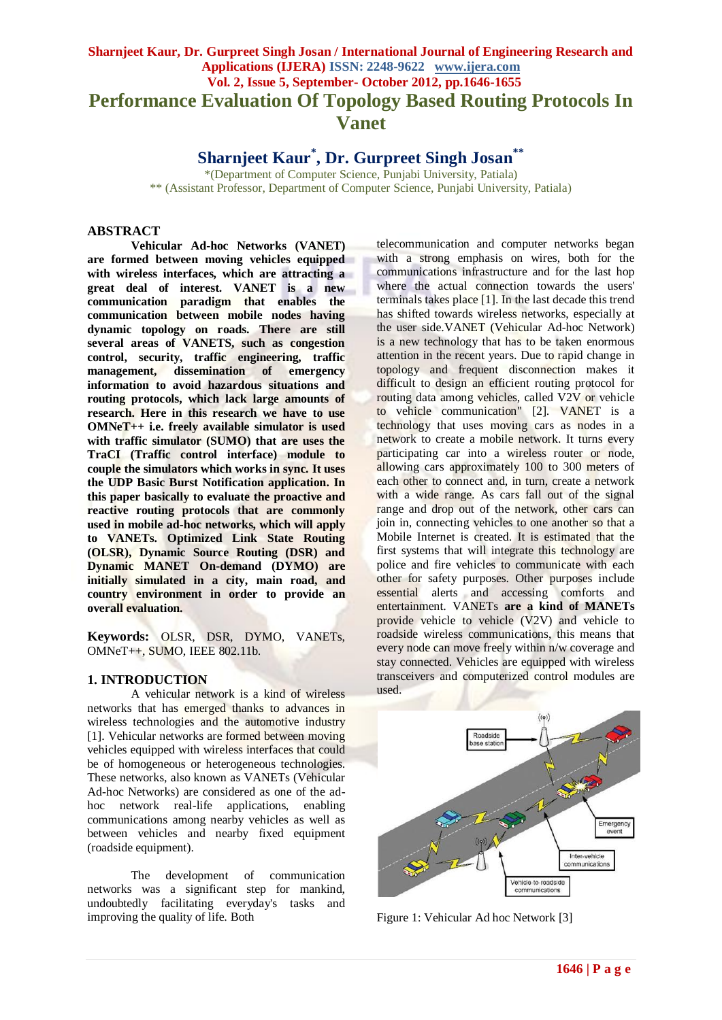# **Sharnjeet Kaur, Dr. Gurpreet Singh Josan / International Journal of Engineering Research and Applications (IJERA) ISSN: 2248-9622 www.ijera.com Vol. 2, Issue 5, September- October 2012, pp.1646-1655 Performance Evaluation Of Topology Based Routing Protocols In Vanet**

**Sharnjeet Kaur\* , Dr. Gurpreet Singh Josan\*\***

\*(Department of Computer Science, Punjabi University, Patiala) \*\* (Assistant Professor, Department of Computer Science, Punjabi University, Patiala)

## **ABSTRACT**

**Vehicular Ad-hoc Networks (VANET) are formed between moving vehicles equipped with wireless interfaces, which are attracting a great deal of interest. VANET is a new communication paradigm that enables the communication between mobile nodes having dynamic topology on roads. There are still several areas of VANETS, such as congestion control, security, traffic engineering, traffic management, dissemination of emergency information to avoid hazardous situations and routing protocols, which lack large amounts of research. Here in this research we have to use OMNeT++ i.e. freely available simulator is used with traffic simulator (SUMO) that are uses the TraCI (Traffic control interface) module to couple the simulators which works in sync. It uses the UDP Basic Burst Notification application. In this paper basically to evaluate the proactive and reactive routing protocols that are commonly used in mobile ad-hoc networks, which will apply to VANETs. Optimized Link State Routing (OLSR), Dynamic Source Routing (DSR) and Dynamic MANET On-demand (DYMO) are initially simulated in a city, main road, and country environment in order to provide an overall evaluation.**

**Keywords:** OLSR, DSR, DYMO, VANETs, OMNeT++, SUMO, IEEE 802.11b.

# **1. INTRODUCTION**

A vehicular network is a kind of wireless networks that has emerged thanks to advances in wireless technologies and the automotive industry [1]. Vehicular networks are formed between moving vehicles equipped with wireless interfaces that could be of homogeneous or heterogeneous technologies. These networks, also known as VANETs (Vehicular Ad-hoc Networks) are considered as one of the adhoc network real-life applications, enabling communications among nearby vehicles as well as between vehicles and nearby fixed equipment (roadside equipment).

The development of communication networks was a significant step for mankind, undoubtedly facilitating everyday's tasks and improving the quality of life. Both

telecommunication and computer networks began with a strong emphasis on wires, both for the communications infrastructure and for the last hop where the actual connection towards the users' terminals takes place [1]. In the last decade this trend has shifted towards wireless networks, especially at the user side.VANET (Vehicular Ad-hoc Network) is a new technology that has to be taken enormous attention in the recent years. Due to rapid change in topology and frequent disconnection makes it difficult to design an efficient routing protocol for routing data among vehicles, called V2V or vehicle to vehicle communication" [2]. VANET is a technology that uses moving cars as nodes in a network to create a mobile network. It turns every participating car into a wireless router or node, allowing cars approximately 100 to 300 meters of each other to connect and, in turn, create a network with a wide range. As cars fall out of the signal range and drop out of the network, other cars can join in, connecting vehicles to one another so that a Mobile Internet is created. It is estimated that the first systems that will integrate this technology are police and fire vehicles to communicate with each other for safety purposes. Other purposes include essential alerts and accessing comforts and entertainment. VANETs **are a kind of MANETs** provide vehicle to vehicle (V2V) and vehicle to roadside wireless communications, this means that every node can move freely within n/w coverage and stay connected. Vehicles are equipped with wireless transceivers and computerized control modules are used.



Figure 1: Vehicular Ad hoc Network [3]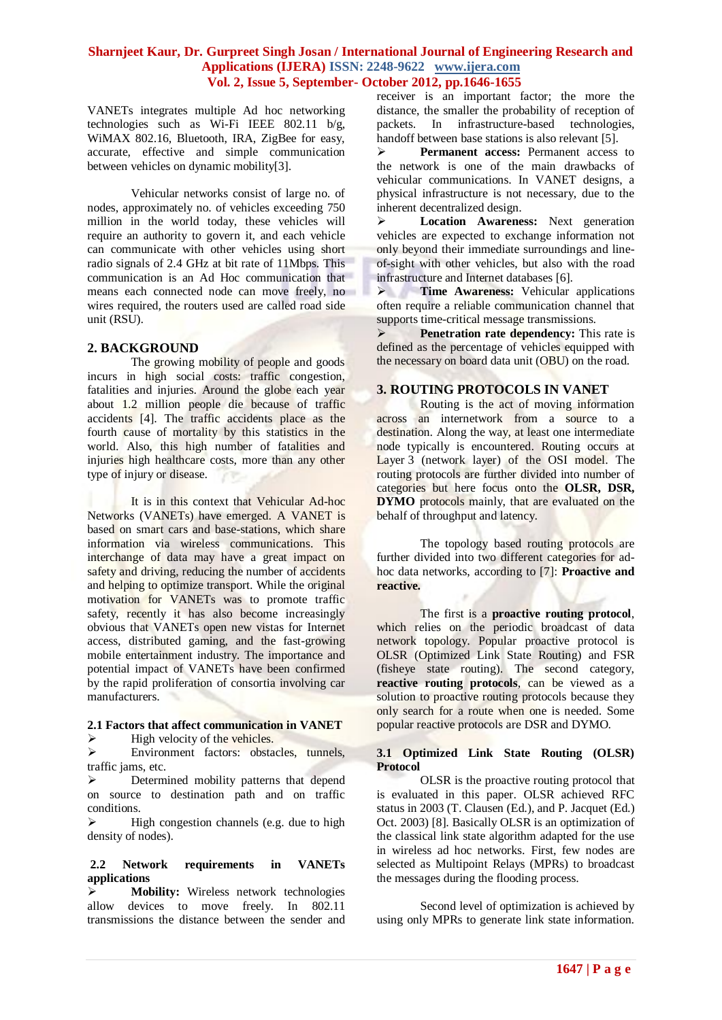VANETs integrates multiple Ad hoc networking technologies such as Wi-Fi IEEE 802.11 b/g, WiMAX 802.16, Bluetooth, IRA, ZigBee for easy, accurate, effective and simple communication between vehicles on dynamic mobility[3].

Vehicular networks consist of large no. of nodes, approximately no. of vehicles exceeding 750 million in the world today, these vehicles will require an authority to govern it, and each vehicle can communicate with other vehicles using short radio signals of 2.4 GHz at bit rate of 11Mbps. This communication is an Ad Hoc communication that means each connected node can move freely, no wires required, the routers used are called road side unit (RSU).

## **2. BACKGROUND**

The growing mobility of people and goods incurs in high social costs: traffic congestion, fatalities and injuries. Around the globe each year about 1.2 million people die because of traffic accidents [4]. The traffic accidents place as the fourth cause of mortality by this statistics in the world. Also, this high number of fatalities and injuries high healthcare costs, more than any other type of injury or disease.

It is in this context that Vehicular Ad-hoc Networks (VANETs) have emerged. A VANET is based on smart cars and base-stations, which share information via wireless communications. This interchange of data may have a great impact on safety and driving, reducing the number of accidents and helping to optimize transport. While the original motivation for VANETs was to promote traffic safety, recently it has also become increasingly obvious that VANETs open new vistas for Internet access, distributed gaming, and the fast-growing mobile entertainment industry. The importance and potential impact of VANETs have been confirmed by the rapid proliferation of consortia involving car manufacturers.

#### **2.1 Factors that affect communication in VANET**  $\blacktriangleright$  High velocity of the vehicles.

 Environment factors: obstacles, tunnels, traffic jams, etc.

 $\triangleright$  Determined mobility patterns that depend on source to destination path and on traffic conditions.

 $\triangleright$  High congestion channels (e.g. due to high density of nodes).

## **2.2 Network requirements in VANETs applications**

 **Mobility:** Wireless network technologies allow devices to move freely. In 802.11 transmissions the distance between the sender and receiver is an important factor; the more the distance, the smaller the probability of reception of packets. In infrastructure-based technologies, handoff between base stations is also relevant [5].

 **Permanent access:** Permanent access to the network is one of the main drawbacks of vehicular communications. In VANET designs, a physical infrastructure is not necessary, due to the inherent decentralized design.

 **Location Awareness:** Next generation vehicles are expected to exchange information not only beyond their immediate surroundings and lineof-sight with other vehicles, but also with the road infrastructure and Internet databases [6].

 **Time Awareness:** Vehicular applications often require a reliable communication channel that supports time-critical message transmissions.

 **Penetration rate dependency:** This rate is defined as the percentage of vehicles equipped with the necessary on board data unit (OBU) on the road.

## **3. ROUTING PROTOCOLS IN VANET**

Routing is the act of moving information across an internetwork from a source to a destination. Along the way, at least one intermediate node typically is encountered. Routing occurs at Layer 3 (network layer) of the OSI model. The routing protocols are further divided into number of categories but here focus onto the **OLSR, DSR, DYMO** protocols mainly, that are evaluated on the behalf of throughput and latency.

The topology based routing protocols are further divided into two different categories for adhoc data networks, according to [7]: **Proactive and reactive.**

The first is a **proactive routing protocol**, which relies on the periodic broadcast of data network topology. Popular proactive protocol is OLSR (Optimized Link State Routing) and FSR (fisheye state routing). The second category, **reactive routing protocols**, can be viewed as a solution to proactive routing protocols because they only search for a route when one is needed. Some popular reactive protocols are DSR and DYMO.

## **3.1 Optimized Link State Routing (OLSR) Protocol**

OLSR is the proactive routing protocol that is evaluated in this paper. OLSR achieved RFC status in 2003 (T. Clausen (Ed.), and P. Jacquet (Ed.) Oct. 2003) [8]. Basically OLSR is an optimization of the classical link state algorithm adapted for the use in wireless ad hoc networks. First, few nodes are selected as Multipoint Relays (MPRs) to broadcast the messages during the flooding process.

Second level of optimization is achieved by using only MPRs to generate link state information.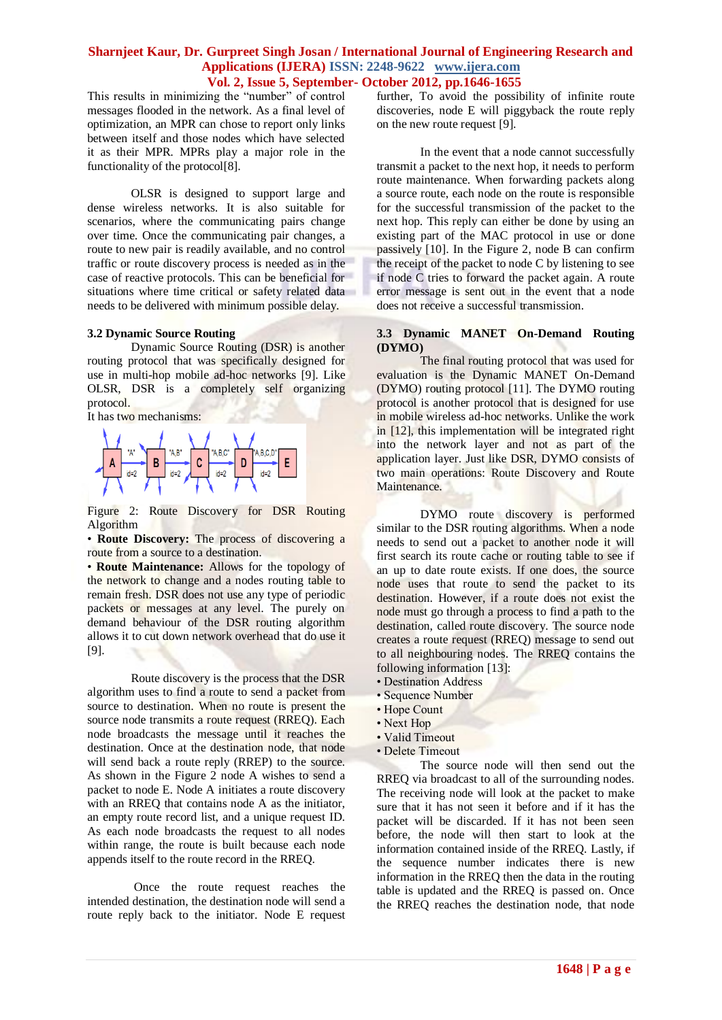This results in minimizing the "number" of control messages flooded in the network. As a final level of optimization, an MPR can chose to report only links between itself and those nodes which have selected it as their MPR. MPRs play a major role in the functionality of the protocol[8].

OLSR is designed to support large and dense wireless networks. It is also suitable for scenarios, where the communicating pairs change over time. Once the communicating pair changes, a route to new pair is readily available, and no control traffic or route discovery process is needed as in the case of reactive protocols. This can be beneficial for situations where time critical or safety related data needs to be delivered with minimum possible delay.

#### **3.2 Dynamic Source Routing**

Dynamic Source Routing (DSR) is another routing protocol that was specifically designed for use in multi-hop mobile ad-hoc networks [9]. Like OLSR, DSR is a completely self organizing protocol.

It has two mechanisms:



Figure 2: Route Discovery for DSR Routing Algorithm

• **Route Discovery:** The process of discovering a route from a source to a destination.

• **Route Maintenance:** Allows for the topology of the network to change and a nodes routing table to remain fresh. DSR does not use any type of periodic packets or messages at any level. The purely on demand behaviour of the DSR routing algorithm allows it to cut down network overhead that do use it [9].

Route discovery is the process that the DSR algorithm uses to find a route to send a packet from source to destination. When no route is present the source node transmits a route request (RREQ). Each node broadcasts the message until it reaches the destination. Once at the destination node, that node will send back a route reply (RREP) to the source. As shown in the Figure 2 node A wishes to send a packet to node E. Node A initiates a route discovery with an RREQ that contains node A as the initiator, an empty route record list, and a unique request ID. As each node broadcasts the request to all nodes within range, the route is built because each node appends itself to the route record in the RREQ.

Once the route request reaches the intended destination, the destination node will send a route reply back to the initiator. Node E request

further, To avoid the possibility of infinite route discoveries, node E will piggyback the route reply on the new route request [9].

In the event that a node cannot successfully transmit a packet to the next hop, it needs to perform route maintenance. When forwarding packets along a source route, each node on the route is responsible for the successful transmission of the packet to the next hop. This reply can either be done by using an existing part of the MAC protocol in use or done passively [10]. In the Figure 2, node B can confirm the receipt of the packet to node C by listening to see if node C tries to forward the packet again. A route error message is sent out in the event that a node does not receive a successful transmission.

#### **3.3 Dynamic MANET On-Demand Routing (DYMO)**

The final routing protocol that was used for evaluation is the Dynamic MANET On-Demand (DYMO) routing protocol [11]. The DYMO routing protocol is another protocol that is designed for use in mobile wireless ad-hoc networks. Unlike the work in [12], this implementation will be integrated right into the network layer and not as part of the application layer. Just like DSR, DYMO consists of two main operations: Route Discovery and Route Maintenance.

DYMO route discovery is performed similar to the DSR routing algorithms. When a node needs to send out a packet to another node it will first search its route cache or routing table to see if an up to date route exists. If one does, the source node uses that route to send the packet to its destination. However, if a route does not exist the node must go through a process to find a path to the destination, called route discovery. The source node creates a route request (RREQ) message to send out to all neighbouring nodes. The RREQ contains the following information [13]:

- Destination Address
- Sequence Number
- Hope Count
- Next Hop
- Valid Timeout
- Delete Timeout

The source node will then send out the RREQ via broadcast to all of the surrounding nodes. The receiving node will look at the packet to make sure that it has not seen it before and if it has the packet will be discarded. If it has not been seen before, the node will then start to look at the information contained inside of the RREQ. Lastly, if the sequence number indicates there is new information in the RREQ then the data in the routing table is updated and the RREQ is passed on. Once the RREQ reaches the destination node, that node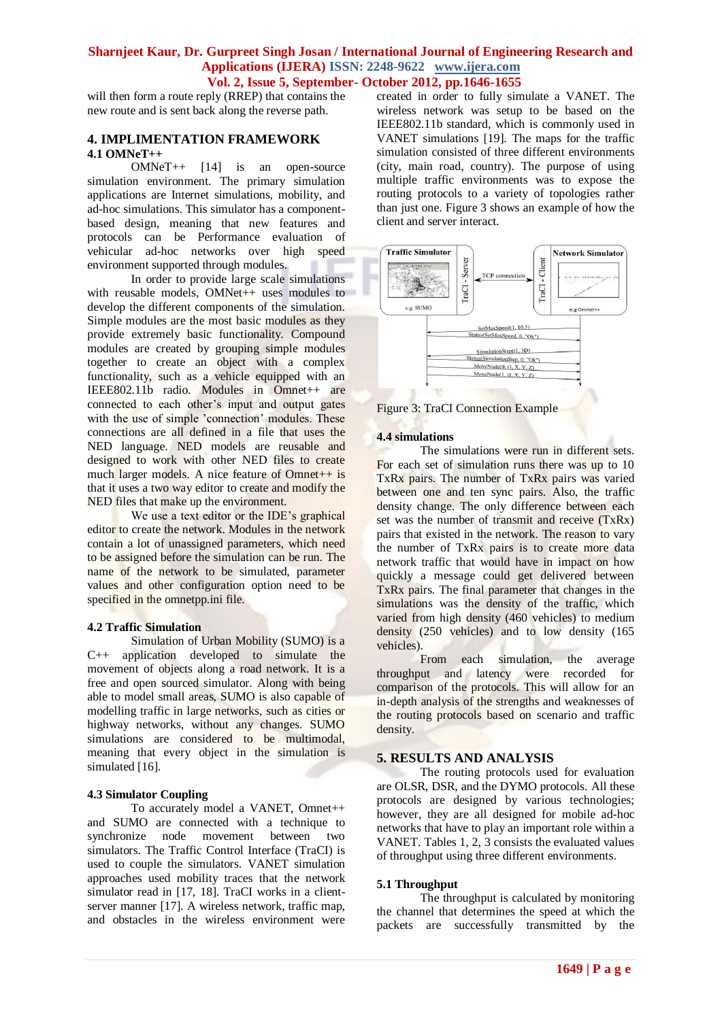will then form a route reply (RREP) that contains the new route and is sent back along the reverse path.

## **4. IMPLIMENTATION FRAMEWORK 4.1 OMNeT++**

OMNeT++ [14] is an open-source simulation environment. The primary simulation applications are Internet simulations, mobility, and ad-hoc simulations. This simulator has a componentbased design, meaning that new features and protocols can be Performance evaluation of vehicular ad-hoc networks over high speed environment supported through modules.

In order to provide large scale simulations with reusable models, OMNet++ uses modules to develop the different components of the simulation. Simple modules are the most basic modules as they provide extremely basic functionality. Compound modules are created by grouping simple modules together to create an object with a complex functionality, such as a vehicle equipped with an IEEE802.11b radio. Modules in Omnet++ are connected to each other's input and output gates with the use of simple 'connection' modules. These connections are all defined in a file that uses the NED language. NED models are reusable and designed to work with other NED files to create much larger models. A nice feature of  $Omnet++$  is that it uses a two way editor to create and modify the NED files that make up the environment.

We use a text editor or the IDE's graphical editor to create the network. Modules in the network contain a lot of unassigned parameters, which need to be assigned before the simulation can be run. The name of the network to be simulated, parameter values and other configuration option need to be specified in the omnetpp.ini file.

## **4.2 Traffic Simulation**

Simulation of Urban Mobility (SUMO) is a C++ application developed to simulate the movement of objects along a road network. It is a free and open sourced simulator. Along with being able to model small areas, SUMO is also capable of modelling traffic in large networks, such as cities or highway networks, without any changes. SUMO simulations are considered to be multimodal, meaning that every object in the simulation is simulated [16].

#### **4.3 Simulator Coupling**

To accurately model a VANET, Omnet++ and SUMO are connected with a technique to synchronize node movement between two simulators. The Traffic Control Interface (TraCI) is used to couple the simulators. VANET simulation approaches used mobility traces that the network simulator read in [17, 18]. TraCI works in a clientserver manner [17]. A wireless network, traffic map, and obstacles in the wireless environment were created in order to fully simulate a VANET. The wireless network was setup to be based on the IEEE802.11b standard, which is commonly used in VANET simulations [19]. The maps for the traffic simulation consisted of three different environments (city, main road, country). The purpose of using multiple traffic environments was to expose the routing protocols to a variety of topologies rather than just one. Figure 3 shows an example of how the client and server interact.





#### **4.4 simulations**

The simulations were run in different sets. For each set of simulation runs there was up to 10 TxRx pairs. The number of TxRx pairs was varied between one and ten sync pairs. Also, the traffic density change. The only difference between each set was the number of transmit and receive (TxRx) pairs that existed in the network. The reason to vary the number of TxRx pairs is to create more data network traffic that would have in impact on how quickly a message could get delivered between TxRx pairs. The final parameter that changes in the simulations was the density of the traffic, which varied from high density (460 vehicles) to medium density (250 vehicles) and to low density (165 vehicles).

From each simulation, the average throughput and latency were recorded for comparison of the protocols. This will allow for an in-depth analysis of the strengths and weaknesses of the routing protocols based on scenario and traffic density.

## **5. RESULTS AND ANALYSIS**

The routing protocols used for evaluation are OLSR, DSR, and the DYMO protocols. All these protocols are designed by various technologies; however, they are all designed for mobile ad-hoc networks that have to play an important role within a VANET. Tables 1, 2, 3 consists the evaluated values of throughput using three different environments.

## **5.1 Throughput**

The throughput is calculated by monitoring the channel that determines the speed at which the packets are successfully transmitted by the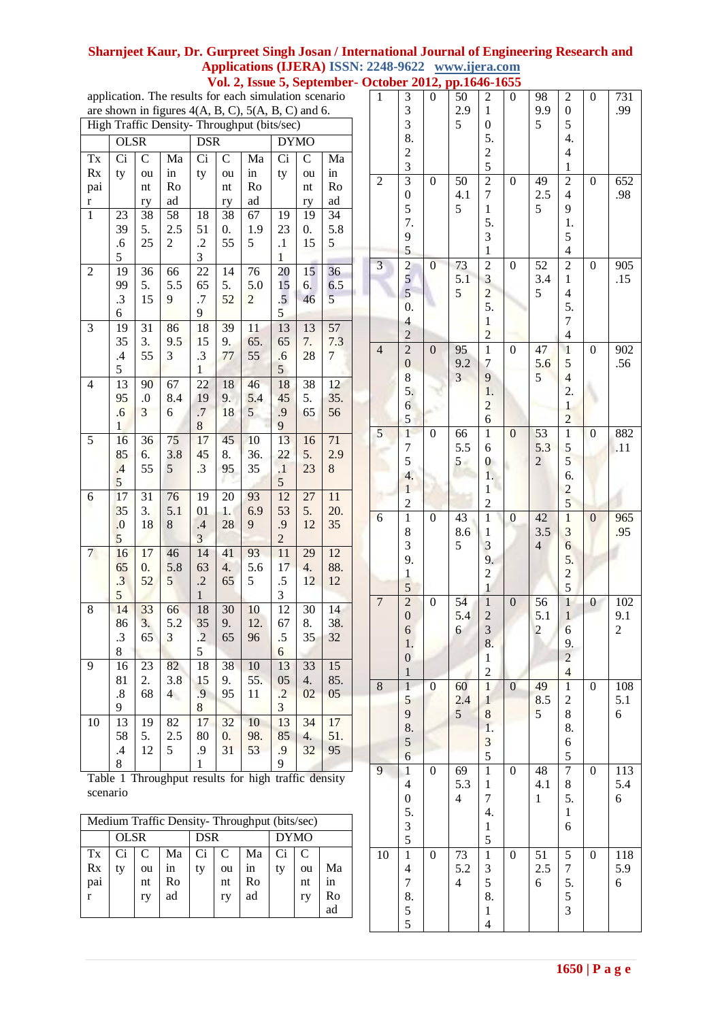# **Sharnjeet Kaur, Dr. Gurpreet Singh Josan / International Journal of Engineering Research and Applications (IJERA) ISSN: 2248-9622 www.ijera.com**

 **Vol. 2, Issue 5, September- October 2012, pp.1646-1655**

application. The results for each simulation scenario are shown in figures  $4(A, B, C), 5(A, B, C)$  and 6.

|                |                   |             |                | High Traffic Density- Throughput (bits/sec) |                    |                |                         |              |                |  |  |
|----------------|-------------------|-------------|----------------|---------------------------------------------|--------------------|----------------|-------------------------|--------------|----------------|--|--|
|                | <b>OLSR</b>       |             |                | <b>DSR</b>                                  |                    |                | <b>DYMO</b>             |              |                |  |  |
| Tx             | Ci                | $\mathbf C$ | Ma             | Ci                                          | $\mathsf{C}$       | Ma             | Ci                      | $\mathsf{C}$ | Ma             |  |  |
| Rx             | ty                | ou          | in             | ty                                          | ou                 | in             | ty                      | ou           | in             |  |  |
| pai            |                   | nt          | Ro             |                                             | nt                 | Ro             |                         | nt           | Ro             |  |  |
| r              |                   | ry          | ad             |                                             | ry                 | ad             |                         | ry           | ad             |  |  |
| $\mathbf{1}$   | 23                | 38          | 58             | 18                                          | 38                 | 67             | 19                      | 19           | 34             |  |  |
|                | 39                | 5.          | 2.5            | 51                                          | $\boldsymbol{0}$ . | 1.9            | 23                      | 0.           | 5.8            |  |  |
|                | .6                | 25          | 2              | $\cdot$                                     | 55                 | 5              | $\cdot$                 | 15           | 5              |  |  |
|                | 5                 |             |                | 3                                           |                    |                | $\mathbf{1}$            |              |                |  |  |
| $\overline{c}$ | 19                | 36          | 66             | 22                                          | 14                 | 76             | 20                      | 15           | 36             |  |  |
|                | 99                | 5.          | 5.5            | 65                                          | 5.                 | 5.0            | 15                      | 6.           | 6.5            |  |  |
|                | .3                | 15          | 9              | .7                                          | 52                 | $\overline{c}$ | $\overline{5}$          | 46           | 5              |  |  |
|                | 6                 |             |                | 9                                           |                    |                | 5                       |              |                |  |  |
| 3              | 19                | 31          | 86             | 18                                          | 39                 | 11             | 13                      | 13           | 57             |  |  |
|                | 35                | 3.          | 9.5            | 15                                          | 9.                 | 65.            | 65                      | 7.           | 7.3            |  |  |
|                | $\cdot$           | 55          | 3              | .3                                          | 77                 | 55             | .6                      | 28           | $\overline{7}$ |  |  |
|                | 5                 |             |                | $\mathbf{1}$                                |                    |                | 5                       |              |                |  |  |
| 4              | 13                | 90          | 67             | 22                                          | 18                 | 46             | 18                      | 38           | 12             |  |  |
|                | 95                | $0.$        | 8.4            | 19                                          | 9.                 | 5.4            | 45                      | 5.           | 35.            |  |  |
|                | .6                | 3           | 6              | $\cdot$                                     | 18                 | 5              | .9                      | 65           | 56             |  |  |
|                | 1                 |             |                | 8                                           |                    |                | 9                       |              |                |  |  |
| 5              | 16                | 36          | 75             | 17                                          | 45                 | 10             | 13                      | 16           | 71             |  |  |
|                | 85                | 6.          | 3.8            | 45                                          | 8.                 | 36.            | 22                      | 5.           | 2.9            |  |  |
|                | .4                | 55          | 5              | .3                                          | 95                 | 35             | $\cdot$                 | 23           | 8              |  |  |
|                | 5                 |             |                |                                             |                    |                | 5                       |              |                |  |  |
| 6              | 17                | 31          | 76             | 19                                          | 20                 | 93             | 12                      | 27           | 11             |  |  |
|                | 35                | 3.          | 5.1            | 01                                          | 1.                 | 6.9            | 53                      | 5.           | 20.            |  |  |
|                | 0.                | 18          | 8              | .4                                          | 28                 | 9              | .9                      | 12           | 35             |  |  |
|                | 5                 |             |                | $\overline{\mathbf{3}}$                     |                    |                | $\overline{c}$          |              |                |  |  |
| $\overline{7}$ | 16                | 17          | 46             | 14                                          | 41                 | 93             | 11                      | 29           | 12             |  |  |
|                | 65                | 0.          | 5.8            | 63                                          | 4.                 | 5.6            | 17                      | 4.           | 88.            |  |  |
|                | $\cdot$ 3         | 52          | 5              | $\cdot$                                     | 65                 | 5              | .5                      | 12           | 12             |  |  |
|                | 5                 |             |                | $\mathbf{1}$                                |                    |                | 3                       |              |                |  |  |
| 8              | 14                | 33          | 66             | 18                                          | 30                 | 10             | 12                      | 30           | 14             |  |  |
|                | 86                | 3.          | 5.2            | 35                                          | 9.                 | 12.            | 67                      | 8.           | 38.            |  |  |
|                | .3                | 65          | 3              | $\cdot$                                     | 65                 | 96             | $\cdot$ 5               | 35           | 32             |  |  |
|                | 8                 |             |                | 5                                           |                    |                | 6                       |              |                |  |  |
| 9              | 16                | 23          | 82             | 18                                          | 38                 | 10             | 13                      | 33           | 15             |  |  |
|                | 81                | 2.          | 3.8            | 15                                          | 9.                 | 55.            | 05                      | 4.           | 85.            |  |  |
|                | $\boldsymbol{.8}$ | 68          | $\overline{4}$ | .9                                          | 95                 | 11             | $\cdot$                 | 02           | 05             |  |  |
|                | 9                 |             |                | 8                                           |                    |                | $\overline{\mathbf{3}}$ |              |                |  |  |
| 10             | 13                | 19          | 82             | 17                                          | 32                 | 10             | 13                      | 34           | 17             |  |  |
|                | 58                | 5.          | 2.5            | 80                                          | $\boldsymbol{0}$ . | 98.            | 85                      | 4.           | 51.            |  |  |
|                | $\cdot$           | 12          | 5              | .9                                          | 31                 | 53             | .9                      | 32           | 95             |  |  |
|                | 8                 |             |                | $\mathbf{1}$                                |                    |                | 9                       |              |                |  |  |
|                |                   |             |                |                                             |                    |                |                         |              |                |  |  |

Table 1 Throughput results for high traffic density scenario

| Medium Traffic Density-Throughput (bits/sec) |             |                     |                      |            |                     |                      |             |                     |                      |  |  |  |
|----------------------------------------------|-------------|---------------------|----------------------|------------|---------------------|----------------------|-------------|---------------------|----------------------|--|--|--|
|                                              | <b>OLSR</b> |                     |                      | <b>DSR</b> |                     |                      | <b>DYMO</b> |                     |                      |  |  |  |
| Tx<br>Rx<br>pai<br>r                         | Ci<br>ty    | C<br>ou<br>nt<br>ry | Ma<br>ın<br>Ro<br>ad | Ci<br>ty   | C<br>ou<br>nt<br>ry | Ma<br>1n<br>Ro<br>ad | Ci<br>ty    | C<br>ou<br>nt<br>ry | Ma<br>in<br>Ro<br>ad |  |  |  |

 $\mathbf{I}$ 

| $\mathbf{1}$   | $3 \overline{3}$<br>$3 \overline{8}$ .<br>$\frac{2}{3}$                                         | $\boldsymbol{0}$ | 50<br>2.9<br>5                                     | $\overline{\mathbf{c}}$<br>$\mathbf{1}$<br>$\boldsymbol{0}$<br>5.<br>$rac{2}{5}$      | 0                | 98<br>9.9<br>5                       | $\overline{\mathbf{c}}$<br>$\overline{0}$<br>5<br>4.<br>$\overline{\mathbf{4}}$<br>$\,1$ | $\boldsymbol{0}$ | 731<br>.99                            |
|----------------|-------------------------------------------------------------------------------------------------|------------------|----------------------------------------------------|---------------------------------------------------------------------------------------|------------------|--------------------------------------|------------------------------------------------------------------------------------------|------------------|---------------------------------------|
| $\overline{c}$ | $\overline{\mathbf{3}}$<br>$\overline{0}$<br>5<br>7.<br>9<br>5                                  | $\boldsymbol{0}$ | 50<br>4.1<br>5                                     | $\overline{2}$<br>$\overline{7}$<br>$\mathbf{1}$<br>5.<br>3<br>$\mathbf{1}$           | $\boldsymbol{0}$ | 49<br>2.5<br>5                       | $\overline{2}$<br>$\overline{4}$<br>9<br>1.<br>5<br>$\overline{4}$                       | $\boldsymbol{0}$ | 652<br>.98                            |
| 3              | $\begin{array}{c} 2 \\ 5 \\ 5 \end{array}$<br>0.<br>$\overline{\mathcal{L}}$<br>$\overline{c}$  | $\boldsymbol{0}$ | 73<br>5.1<br>5                                     | $\overline{2}$<br>$\overline{\mathbf{3}}$<br>$\frac{2}{5}$<br>$\,1$<br>$\overline{c}$ | $\boldsymbol{0}$ | 52<br>3.4<br>5                       | $\overline{2}$<br>$\,1$<br>$\overline{4}$<br>5.<br>$\overline{7}$<br>$\overline{4}$      | $\boldsymbol{0}$ | 905<br>.15                            |
| $\overline{4}$ | $\begin{matrix} 2 \\ 0 \end{matrix}$<br>$\frac{8}{5}$<br>$\overline{6}$<br>5                    | $\boldsymbol{0}$ | 95<br>9.2<br>3                                     | $\,1$<br>$\overline{7}$<br>9<br>1.<br>$\overline{c}$<br>$\overline{6}$                | $\boldsymbol{0}$ | 47<br>5.6<br>5                       | $\,1$<br>$\frac{5}{4}$<br>2.<br>$\mathbf{1}$<br>$\overline{c}$                           | $\boldsymbol{0}$ | 902<br>.56                            |
| 5              | $\overline{1}$<br>$\begin{array}{c} 7 \\ 5 \end{array}$<br>4.<br>$\mathbf{1}$<br>$\overline{c}$ | $\boldsymbol{0}$ | 66<br>5.5<br>5 <sup>5</sup>                        | $\mathbf{1}$<br>6<br>$\boldsymbol{0}$<br>1.<br>$\mathbf{1}$<br>$\overline{c}$         | $\boldsymbol{0}$ | 53<br>5.3<br>$\overline{c}$          | $\overline{1}$<br>$\frac{5}{5}$<br>6.<br>$\frac{2}{5}$                                   | $\boldsymbol{0}$ | 882<br>.11                            |
| 6              | $\mathbf{1}$<br>8<br>3<br>9.<br>$\,1$<br>5                                                      | $\boldsymbol{0}$ | 43<br>8.6<br>5                                     | $\,1$<br>$\,1$<br>3<br>9.<br>$\overline{c}$<br>$\mathbf{1}$                           | $\boldsymbol{0}$ | 42<br>3.5<br>$\overline{4}$          | $\overline{1}$<br>$\overline{\mathbf{3}}$<br>$\overline{6}$<br>5.<br>$rac{2}{5}$         | $\boldsymbol{0}$ | 965<br>.95                            |
| 7              | $\begin{matrix} 2 \\ 0 \end{matrix}$<br>$\overline{6}$<br>1.<br>$\boldsymbol{0}$<br>$\mathbf 1$ | $\boldsymbol{0}$ | 54<br>5.4<br>6                                     | $\,1$<br>$\frac{2}{3}$<br>8.<br>$\,1$<br>$\overline{c}$                               | $\boldsymbol{0}$ | 56<br>5.1<br>$\overline{\mathbf{c}}$ | $\overline{1}$<br>$\mathbf{1}$<br>$\overline{6}$<br>9.<br>$\frac{2}{4}$                  | $\boldsymbol{0}$ | 102<br>9.1<br>$\overline{\mathbf{c}}$ |
| $\overline{8}$ | $\overline{1}$<br>5<br>9<br>$\begin{array}{c} 8. \\ 5 \\ 6 \end{array}$                         | $\boldsymbol{0}$ | 60<br>2.4<br>5                                     | $\overline{1}$<br>$\mathbf{1}$<br>8<br>1.<br>$rac{3}{5}$                              | $\boldsymbol{0}$ | 49<br>8.5<br>5                       | $\overline{1}$<br>$\frac{2}{8}$<br>8.<br>6<br>5                                          | $\boldsymbol{0}$ | 108<br>5.1<br>6                       |
| 9              | $\overline{1}$<br>$\overline{\mathcal{L}}$<br>$\boldsymbol{0}$<br>$rac{5}{3}$                   | $\boldsymbol{0}$ | $\overline{69}$<br>5.3<br>$\overline{\mathcal{L}}$ | $\overline{1}$<br>$\mathbf{1}$<br>$\overline{7}$<br>4.<br>$\frac{1}{5}$               | $\boldsymbol{0}$ | 48<br>4.1<br>$\mathbf{1}$            | 7<br>$\frac{8}{5}$ .<br>$\,1$<br>6                                                       | $\boldsymbol{0}$ | 113<br>5.4<br>6                       |
| 10             | $\overline{1}$<br>$\overline{\mathcal{L}}$<br>$\overline{7}$<br>8.<br>$\frac{5}{5}$             | $\boldsymbol{0}$ | 73<br>5.2<br>$\overline{\mathcal{L}}$              | $\overline{1}$<br>$rac{3}{5}$<br>8.<br>$\,1$<br>$\overline{4}$                        | $\boldsymbol{0}$ | 51<br>2.5<br>6                       | 5<br>$\frac{7}{5}$ .<br>5<br>3                                                           | $\boldsymbol{0}$ | 118<br>5.9<br>6                       |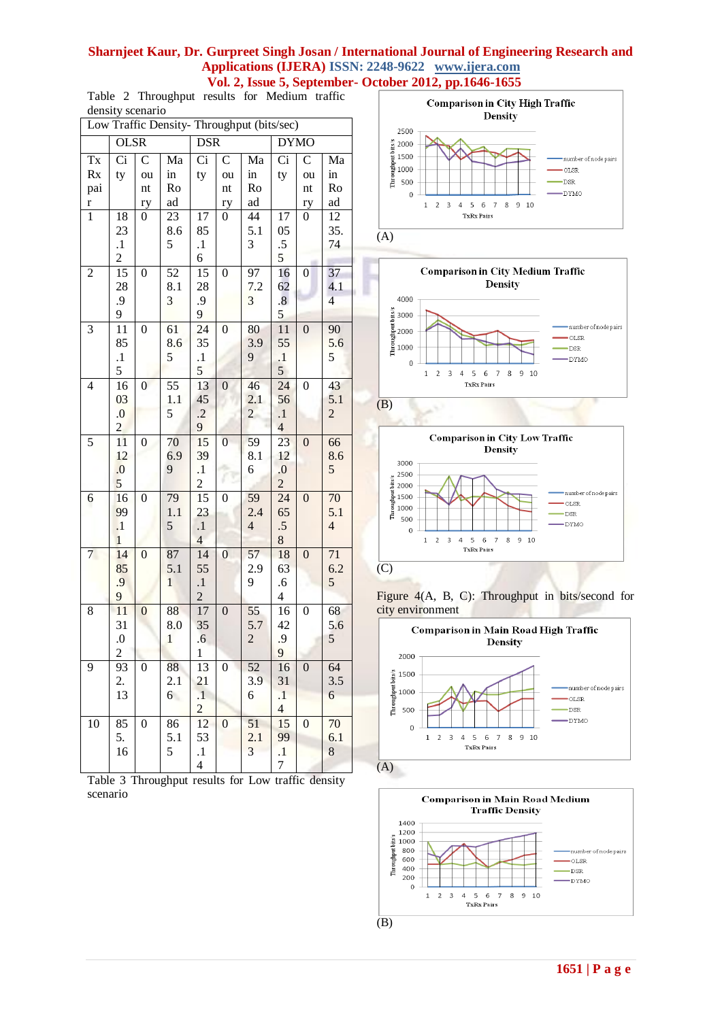Table 2 Throughput results for Medium traffic density scenario

| Low Traffic Density- Throughput (bits/sec) |                         |                        |                 |                      |                        |                       |                                |                          |                       |  |  |
|--------------------------------------------|-------------------------|------------------------|-----------------|----------------------|------------------------|-----------------------|--------------------------------|--------------------------|-----------------------|--|--|
|                                            | <b>OLSR</b>             |                        |                 | <b>DSR</b>           |                        |                       | <b>DYMO</b>                    |                          |                       |  |  |
| $\mathbf{T}\mathbf{x}$                     | $\overline{Ci}$         | $\overline{\rm C}$     | Ma              | $\overline{Ci}$      | $\overline{\rm c}$     | Ma                    | $\overline{Ci}$                | $\mathbf C$              | Ma                    |  |  |
| Rx                                         | ty                      | ou                     | in              | ty                   | ou                     | in                    | ty                             | ou                       | in                    |  |  |
| pai                                        |                         | $\mathop{\mathsf{nt}}$ | Ro              |                      | $\mathop{\mathsf{nt}}$ | Ro                    |                                | $\mathop{\hbox{\rm nt}}$ | Ro                    |  |  |
| $\mathbf{r}$                               |                         | ry                     | ad              |                      | ry                     | ad                    |                                | ry                       | ad                    |  |  |
| $\overline{1}$                             | 18                      | $\overline{0}$         | $\overline{23}$ | 17                   | 0                      | 44                    | 17                             | $\overline{0}$           | $\overline{12}$       |  |  |
|                                            | 23<br>$\cdot^1$         |                        | 8.6<br>5        | 85<br>$\cdot$        |                        | 5.1<br>3              | 05<br>$.5\,$                   |                          | 35.<br>74             |  |  |
|                                            | $\overline{2}$          |                        |                 | 6                    |                        |                       | 5                              |                          |                       |  |  |
| $\overline{c}$                             | 15                      | $\boldsymbol{0}$       | $5\overline{2}$ | 15                   | $\boldsymbol{0}$       | $9\overline{7}$       | 16                             | $\boldsymbol{0}$         | 37                    |  |  |
|                                            | 28                      |                        | 8.1             | 28                   |                        | 7.2                   | 62                             |                          | 4.1                   |  |  |
|                                            | .9                      |                        | 3               | .9                   |                        | 3                     | $\overline{\mathbf{8}}$        |                          | $\overline{4}$        |  |  |
|                                            | 9                       |                        |                 | 9                    |                        |                       | 5                              |                          |                       |  |  |
| 3                                          | 11                      | $\boldsymbol{0}$       | 61              | 24                   | $\boldsymbol{0}$       | 80                    | 11                             | $\boldsymbol{0}$         | 90                    |  |  |
|                                            | 85                      |                        | 8.6             | 35                   |                        | 3.9                   | 55                             |                          | 5.6                   |  |  |
|                                            | $\cdot$                 |                        | 5               | $\cdot$              |                        | 9                     | $\cdot$                        |                          | 5                     |  |  |
|                                            | 5                       |                        |                 | 5                    |                        |                       | 5                              |                          |                       |  |  |
| $\overline{4}$                             | 16                      | $\overline{0}$         | 55<br>1.1       | 13                   | $\boldsymbol{0}$       | 46                    | 24                             | $\boldsymbol{0}$         | 43                    |  |  |
|                                            | 03<br>$\overline{0}$ .  |                        | 5               | 45<br>$\cdot$        |                        | 2.1<br>$\overline{c}$ | 56<br>$\cdot$                  |                          | 5.1<br>$\overline{c}$ |  |  |
|                                            | $\overline{2}$          |                        |                 | 9                    |                        |                       | $\overline{4}$                 |                          |                       |  |  |
| 5                                          | 11                      | $\boldsymbol{0}$       | 70              | 15                   | $\overline{0}$         | 59                    | 23                             | $\boldsymbol{0}$         | 66                    |  |  |
|                                            | 12                      |                        | 6.9             | 39                   |                        | 8.1                   | 12                             |                          | 8.6                   |  |  |
|                                            | 0.                      |                        | 9               | $\cdot$              |                        | 6                     | $0. \,$                        |                          | $\sqrt{5}$            |  |  |
|                                            | 5                       |                        |                 | $\overline{2}$       |                        |                       | $\overline{2}$                 |                          |                       |  |  |
| 6                                          | 16                      | $\overline{0}$         | 79              | $\overline{15}$      | $\boldsymbol{0}$       | 59                    | $\overline{24}$                | $\boldsymbol{0}$         | 70                    |  |  |
|                                            | 99                      |                        | 1.1             | 23                   |                        | 2.4                   | 65                             |                          | 5.1                   |  |  |
|                                            | $\cdot$                 |                        | 5               | $\cdot$              |                        | $\overline{4}$        | $.5\,$                         |                          | $\overline{4}$        |  |  |
|                                            | $\mathbf{1}$            | $\boldsymbol{0}$       |                 | $\overline{4}$       |                        | 57                    | $8\,$                          |                          |                       |  |  |
| $7\phantom{.0}$                            | 14<br>85                |                        | 87<br>5.1       | 14<br>55             | $\boldsymbol{0}$       | 2.9                   | 18<br>63                       | $\boldsymbol{0}$         | 71<br>6.2             |  |  |
|                                            | .9                      |                        | $\mathbf{1}$    | $\cdot$              |                        | 9                     | .6                             |                          | 5                     |  |  |
|                                            | 9                       |                        |                 | $\overline{c}$       |                        |                       | $\overline{4}$                 |                          |                       |  |  |
| 8                                          | 11                      | $\boldsymbol{0}$       | 88              | 17                   | $\boldsymbol{0}$       | 55                    | 16                             | $\boldsymbol{0}$         | 68                    |  |  |
|                                            | 31                      |                        | 8.0             | 35                   |                        | 5.7                   | 42                             |                          | 5.6                   |  |  |
|                                            | 0.                      |                        | $\mathbf{1}$    | $\overline{6}$       |                        | $\overline{c}$        | .9                             |                          | 5                     |  |  |
|                                            | $\overline{\mathbf{c}}$ |                        |                 | $\mathbf{1}$         |                        |                       | 9                              |                          |                       |  |  |
| 9                                          | 93                      | $\boldsymbol{0}$       | 88              | 13                   | $\boldsymbol{0}$       | 52                    | 16                             | $\boldsymbol{0}$         | 64                    |  |  |
|                                            | 2.                      |                        | 2.1             | 21                   |                        | 3.9                   | 31                             |                          | 3.5                   |  |  |
|                                            | 13                      |                        | 6               | $\cdot$              |                        | 6                     | $\cdot$                        |                          | 6                     |  |  |
|                                            |                         |                        |                 | $\overline{2}$<br>12 |                        | 51                    | $\overline{\mathcal{L}}$<br>15 |                          |                       |  |  |
| 10                                         | 85<br>5.                | $\boldsymbol{0}$       | 86<br>5.1       | 53                   | $\boldsymbol{0}$       | 2.1                   | 99                             | $\boldsymbol{0}$         | 70<br>6.1             |  |  |
|                                            | 16                      |                        | 5               | $\cdot$              |                        | 3                     | $\cdot$                        |                          | 8                     |  |  |
|                                            |                         |                        |                 | 4                    |                        |                       | 7                              |                          |                       |  |  |
|                                            |                         |                        |                 |                      |                        |                       |                                |                          |                       |  |  |

Table 3 Throughput results for Low traffic density scenario













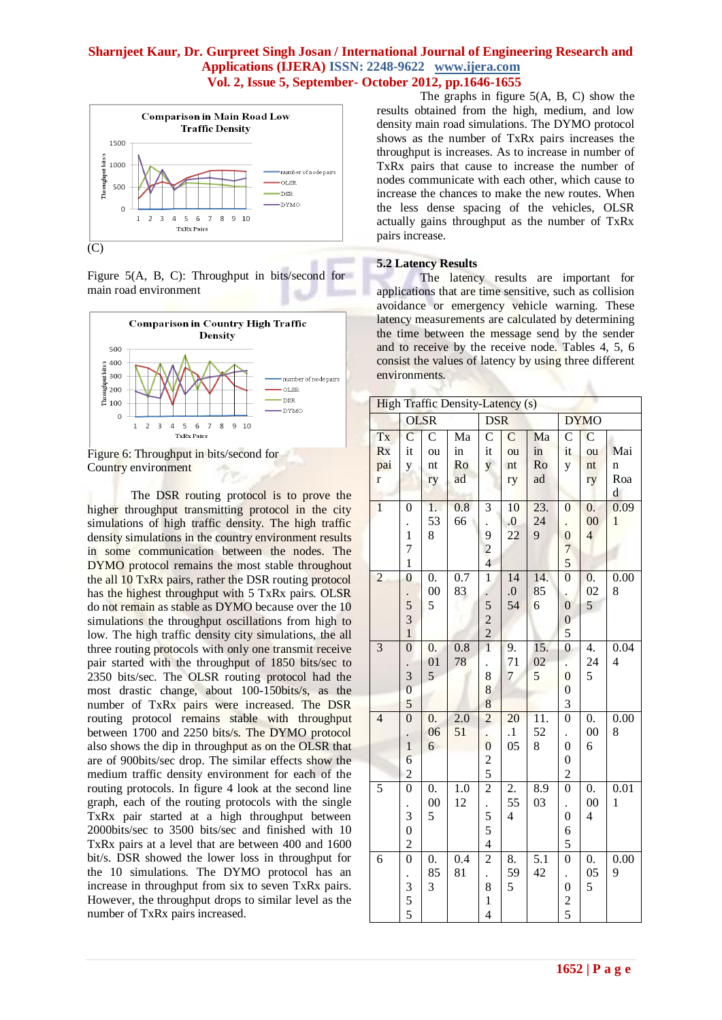

Figure 5(A, B, C): Throughput in bits/second for main road environment





The DSR routing protocol is to prove the higher throughput transmitting protocol in the city simulations of high traffic density. The high traffic density simulations in the country environment results in some communication between the nodes. The DYMO protocol remains the most stable throughout the all 10 TxRx pairs, rather the DSR routing protocol has the highest throughput with 5 TxRx pairs. OLSR do not remain as stable as DYMO because over the 10 simulations the throughput oscillations from high to low. The high traffic density city simulations, the all three routing protocols with only one transmit receive pair started with the throughput of 1850 bits/sec to 2350 bits/sec. The OLSR routing protocol had the most drastic change, about 100-150bits/s, as the number of TxRx pairs were increased. The DSR routing protocol remains stable with throughput between 1700 and 2250 bits/s. The DYMO protocol also shows the dip in throughput as on the OLSR that are of 900bits/sec drop. The similar effects show the medium traffic density environment for each of the routing protocols. In figure 4 look at the second line graph, each of the routing protocols with the single TxRx pair started at a high throughput between 2000bits/sec to 3500 bits/sec and finished with 10 TxRx pairs at a level that are between 400 and 1600 bit/s. DSR showed the lower loss in throughput for the 10 simulations. The DYMO protocol has an increase in throughput from six to seven TxRx pairs. However, the throughput drops to similar level as the number of TxRx pairs increased.

The graphs in figure 5(A, B, C) show the results obtained from the high, medium, and low density main road simulations. The DYMO protocol shows as the number of TxRx pairs increases the throughput is increases. As to increase in number of TxRx pairs that cause to increase the number of nodes communicate with each other, which cause to increase the chances to make the new routes. When the less dense spacing of the vehicles, OLSR actually gains throughput as the number of TxRx pairs increase.

## **5.2 Latency Results**

 $\mathcal{L}$ **Security** 

The latency results are important for applications that are time sensitive, such as collision avoidance or emergency vehicle warning. These latency measurements are calculated by determining the time between the message send by the sender and to receive by the receive node. Tables 4, 5, 6 consist the values of latency by using three different environments. A.

| <b>High Traffic Density-Latency (s)</b> |                |                    |                  |                         |                          |                   |                  |                         |                   |  |  |
|-----------------------------------------|----------------|--------------------|------------------|-------------------------|--------------------------|-------------------|------------------|-------------------------|-------------------|--|--|
|                                         | <b>OLSR</b>    |                    |                  | <b>DSR</b>              |                          |                   |                  | <b>DYMO</b>             |                   |  |  |
| Tx                                      | $\overline{C}$ | $\overline{\rm C}$ | Ma               | $\mathcal{C}$           | $\overline{C}$           | Ma                | $\mathcal{C}$    | $\overline{C}$          |                   |  |  |
| <b>Rx</b>                               | it             | ou                 | in               | it                      | ou                       | in                | it               | ou                      | Mai               |  |  |
| pai                                     | y              | nt                 | Ro               | $\overline{\mathbf{y}}$ | $\mathop{\hbox{\rm nt}}$ | Ro                | y                | nt                      | n                 |  |  |
| $\mathbf{r}$                            |                | ry                 | ad               |                         | ry                       | ad                |                  | ry                      | Roa               |  |  |
|                                         |                |                    |                  |                         |                          |                   |                  |                         | $\mathbf d$       |  |  |
| $\overline{1}$                          | $\overline{0}$ | 1.                 | 0.8              | 3                       | 10                       | 23.               | $\boldsymbol{0}$ | $\overline{0}$ .        | 0.09              |  |  |
|                                         |                | 53                 | 66               | $\ddot{\phantom{0}}$    | 0.                       | 24                |                  | 00                      | $\mathbf{1}$      |  |  |
|                                         | $\mathbf{1}$   | 8                  |                  | 9                       | 22                       | 9                 | $\boldsymbol{0}$ | $\overline{4}$          |                   |  |  |
|                                         | 7              |                    |                  | $\overline{c}$          |                          |                   | 7                |                         |                   |  |  |
|                                         | $\mathbf{1}$   |                    |                  | $\overline{4}$          |                          |                   | 5                |                         |                   |  |  |
| $\overline{c}$                          | $\overline{0}$ | $\overline{0}$ .   | $\overline{0.7}$ | $\overline{1}$          | 14                       | 14.               | $\overline{0}$   | 0.                      | 0.00              |  |  |
|                                         |                | $00\,$             | 83               |                         | $0.$                     | 85                |                  | 02                      | 8                 |  |  |
|                                         | 5              | 5                  |                  | 5                       | 54                       | 6                 | $\overline{0}$   | 5                       |                   |  |  |
|                                         | 3              |                    |                  | $\overline{2}$          |                          |                   | $\mathbf{0}$     |                         |                   |  |  |
|                                         | $\mathbf{1}$   |                    |                  | $\overline{2}$          |                          |                   | 5                |                         |                   |  |  |
| 3                                       | $\overline{0}$ | $\overline{0}$ .   | 0.8              | $\overline{1}$          | 9.                       | 15.               | $\overline{0}$   | 4.                      | 0.04              |  |  |
|                                         |                | 01                 | 78               |                         | 71                       | 02                |                  | 24                      | $\overline{4}$    |  |  |
|                                         | 3              | $\overline{5}$     |                  | 8                       | $\overline{7}$           | 5                 | $\overline{0}$   | 5                       |                   |  |  |
|                                         | $\overline{0}$ |                    |                  | 8                       |                          |                   | $\boldsymbol{0}$ |                         |                   |  |  |
|                                         | 5              |                    |                  | 8                       |                          |                   | 3                |                         |                   |  |  |
| $\overline{4}$                          | $\overline{0}$ | $\overline{0}$ .   | 2.0              | $\overline{2}$          | 20                       | $\overline{11}$ . | $\overline{0}$   | $\overline{0}$ .        | 0.00              |  |  |
|                                         |                | 06                 | 51               |                         | $\cdot$                  | 52                |                  | $00\,$                  | 8                 |  |  |
|                                         | $\frac{1}{1}$  | 6                  |                  | $\overline{0}$          | 05                       | 8                 | $\overline{0}$   | 6                       |                   |  |  |
|                                         | $\overline{6}$ |                    |                  | $\frac{2}{5}$           |                          |                   | $\boldsymbol{0}$ |                         |                   |  |  |
|                                         | $\overline{c}$ |                    |                  |                         |                          |                   | $\overline{c}$   |                         |                   |  |  |
| 5                                       | $\overline{0}$ | $\overline{0}$ .   | $\overline{1.0}$ | $\overline{2}$          | 2.                       | $\overline{8.9}$  | $\overline{0}$   | $\overline{0}$ .        | $\overline{0.01}$ |  |  |
|                                         |                | $00\,$             | 12               |                         | 55                       | 03                |                  | $00\,$                  | $\mathbf{1}$      |  |  |
|                                         | 3              | 5                  |                  | 5                       | $\overline{\mathbf{4}}$  |                   | $\overline{0}$   | $\overline{\mathbf{4}}$ |                   |  |  |
|                                         | $\overline{0}$ |                    |                  | 5                       |                          |                   | 6                |                         |                   |  |  |
|                                         | $\overline{c}$ |                    |                  | $\overline{4}$          |                          |                   | 5                |                         |                   |  |  |
| $\overline{6}$                          | $\overline{0}$ | $\overline{0}$ .   | $\overline{0.4}$ | $\overline{2}$          | 8.                       | $\overline{5.1}$  | $\overline{0}$   | $\boldsymbol{0}$ .      | 0.00              |  |  |
|                                         |                | 85                 | 81               |                         | 59                       | 42                |                  | 05                      | 9                 |  |  |
|                                         | 3              | 3                  |                  | 8                       | 5                        |                   | $\boldsymbol{0}$ | 5                       |                   |  |  |
|                                         | $\frac{5}{5}$  |                    |                  | $\mathbf{1}$            |                          |                   | $\frac{2}{5}$    |                         |                   |  |  |
|                                         |                |                    |                  | $\overline{4}$          |                          |                   |                  |                         |                   |  |  |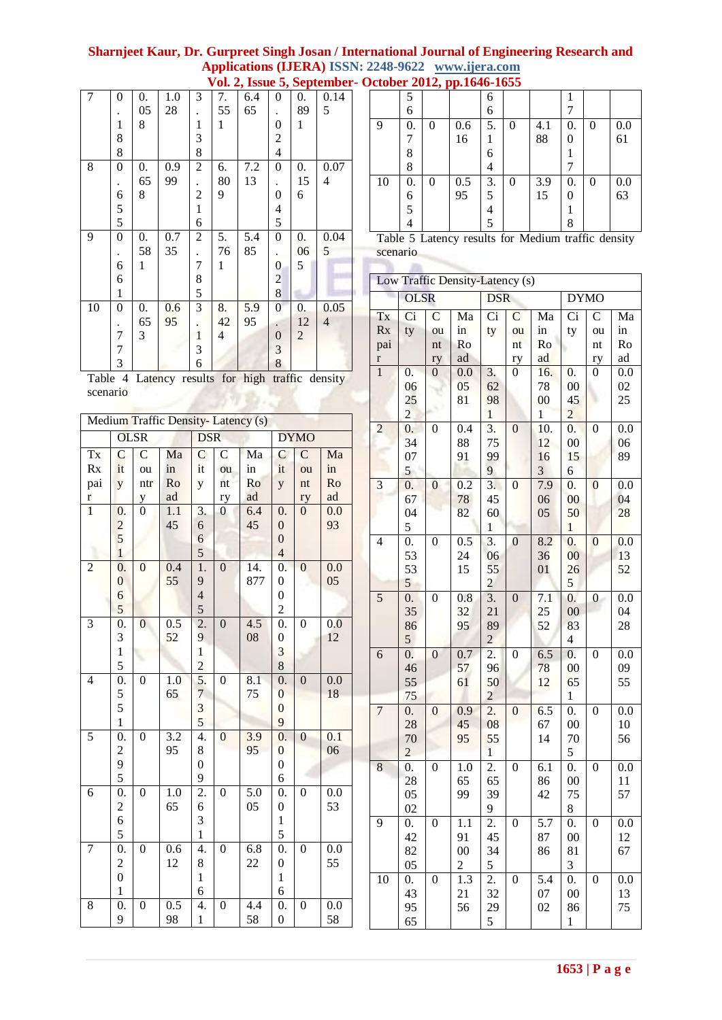# **Sharnjeet Kaur, Dr. Gurpreet Singh Josan / International Journal of Engineering Research and Applications (IJERA) ISSN: 2248-9622 www.ijera.com**

| $\overline{7}$ | $\overline{0}$ | $\overline{0}$ . | 1.0 | 3              | 7.             | 6.4 | $\Omega$       | $\overline{0}$ . | 0.14                     |                           | 5           |                |                         | 6            |
|----------------|----------------|------------------|-----|----------------|----------------|-----|----------------|------------------|--------------------------|---------------------------|-------------|----------------|-------------------------|--------------|
|                |                | 05               | 28  |                | 55             | 65  |                | 89               | 5                        |                           | 6           |                |                         | 6            |
|                |                | 8                |     | 1              | 1              |     | 0              | 1                |                          | 9                         | 0.          | $\Omega$       | 0.6                     | 5            |
|                | 8              |                  |     | 3              |                |     | 2              |                  |                          |                           | 7           |                | 16                      | 1            |
|                | 8              |                  |     | 8              |                |     | 4              |                  |                          |                           | 8           |                |                         | 6            |
| 8              | $\theta$       | $\overline{0}$ . | 0.9 | $\overline{2}$ | 6.             | 7.2 | $\theta$       | $\overline{0}$ . | 0.07                     |                           | 8           |                |                         | 4            |
|                |                | 65               | 99  |                | 80             | 13  |                | 15               | $\overline{\mathcal{A}}$ | 10                        | 0.          | $\Omega$       | 0.5                     | 3            |
|                | 6              | 8                |     | $\overline{2}$ | 9              |     | 0              | 6                |                          |                           | 6           |                | 95                      | 5            |
|                | 5              |                  |     | I              |                |     | 4              |                  |                          |                           | 5           |                |                         | 4            |
|                | 5              |                  |     | 6              |                |     | 5              |                  |                          |                           | 4           |                |                         | 5            |
| 9              | $\theta$       | $\overline{0}$ . | 0.7 | $\overline{2}$ | 5.             | 5.4 | $\theta$       | $\overline{0}$ . | 0.04                     |                           |             |                | Table 5 Latency results |              |
|                |                | 58               | 35  |                | 76             | 85  |                | 06               | 5                        | scenario                  |             |                |                         |              |
|                | 6              | 1                |     | 7              | 1              |     | 0              | 5                |                          |                           |             |                |                         |              |
|                | 6              |                  |     | 8              |                |     | 2              |                  |                          |                           |             |                | Low Traffic Density-La  |              |
|                | 1              |                  |     | 5              |                |     | 8              |                  |                          |                           | <b>OLSR</b> |                |                         | E            |
| 10             | $\theta$       | $\overline{0}$ . | 0.6 | 3              | 8.             | 5.9 | $\theta$       | $\overline{0}$ . | 0.05                     |                           |             | C              |                         |              |
|                |                | 65               | 95  |                | 42             | 95  |                | 12               | $\overline{4}$           | Tx                        | Ci          |                | Ma                      | C            |
|                |                | 3                |     | 1              | $\overline{4}$ |     | $\overline{0}$ | $\overline{2}$   |                          | Rx                        | ty          | ou             | in                      | $t^{\prime}$ |
|                | 7              |                  |     | 3              |                |     | 3              |                  |                          | pai                       |             | nt             | Ro                      |              |
|                | 3              |                  |     | 6              |                |     | 8              |                  |                          | $\bf r$<br>$\blacksquare$ | $\Omega$    | ry<br>$\Omega$ | ad<br>$\Omega$          | $\bigcirc$   |

|    | 5  |   |     | 6  |   |     |    |   |     |
|----|----|---|-----|----|---|-----|----|---|-----|
|    | 6  |   |     | 6  |   |     |    |   |     |
| 9  | 0. | 0 | 0.6 | 5. | 0 | 4.1 | 0. | 0 | 0.0 |
|    |    |   | 16  |    |   | 88  |    |   | 61  |
|    | 8  |   |     | 6  |   |     |    |   |     |
|    | 8  |   |     | 4  |   |     |    |   |     |
| 10 | 0. | 0 | 0.5 | 3. | 0 | 3.9 | 0. | 0 | 0.0 |
|    | 6  |   | 95  | 5  |   | 15  |    |   | 63  |
|    | 5  |   |     | 4  |   |     |    |   |     |
|    |    |   |     | 5  |   |     | 8  |   |     |

|          |  | Table 5 Latency results for Medium traffic density |  |
|----------|--|----------------------------------------------------|--|
| scenario |  |                                                    |  |

| Low Traffic Density-Latency (s) |                      |                  |                         |                         |                  |                        |                      |                  |          |  |  |
|---------------------------------|----------------------|------------------|-------------------------|-------------------------|------------------|------------------------|----------------------|------------------|----------|--|--|
|                                 |                      |                  |                         |                         |                  |                        |                      |                  |          |  |  |
|                                 | <b>OLSR</b>          |                  |                         | <b>DSR</b>              |                  |                        | <b>DYMO</b>          |                  |          |  |  |
| Tx                              | Ci                   | $\mathcal{C}$    | Ma                      | Ci                      | $\mathbf C$      | Ma                     | Ci                   | $\mathcal{C}$    | Ma       |  |  |
| Rx                              | ty                   | ou               | in                      | ty                      | ou               | in                     | ty                   | ou               | in       |  |  |
| pai                             |                      | nt               | Ro                      |                         | nt               | Ro                     |                      | nt               | Ro       |  |  |
| r                               |                      | ry               | ad                      |                         | ry               | ad                     |                      | ry               | ad       |  |  |
| $\overline{1}$                  | $\overline{0}$ .     | 0                | 0.0                     | 3.                      | 0                | 16.                    | 0.                   | 0                | 0.0      |  |  |
|                                 | 06                   |                  | 05                      | 62                      |                  | 78                     | $00\,$               |                  | 02<br>25 |  |  |
|                                 | 25<br>$\overline{c}$ |                  | 81                      | 98<br>$\mathbf{1}$      |                  | $00\,$<br>$\mathbf{1}$ | 45<br>$\overline{c}$ |                  |          |  |  |
| $\overline{c}$                  | 0.                   | $\boldsymbol{0}$ | 0.4                     | 3.                      | $\boldsymbol{0}$ | 10.                    | $\overline{0}$ .     | $\boldsymbol{0}$ | 0.0      |  |  |
|                                 | 34                   |                  | 88                      | 75                      |                  | 12                     | 00                   |                  | 06       |  |  |
|                                 | 07                   |                  | 91                      | 99                      |                  | 16                     | 15                   |                  | 89       |  |  |
|                                 | 5                    |                  |                         | 9                       |                  | 3                      | 6                    |                  |          |  |  |
| 3                               | $\boldsymbol{0}$ .   | $\overline{0}$   | 0.2                     | 3.                      | $\mathbf 0$      | 7.9                    | 0.                   | $\boldsymbol{0}$ | 0.0      |  |  |
|                                 | 67                   |                  | 78                      | 45                      |                  | 06                     | 00                   |                  | 04       |  |  |
|                                 | 04                   |                  | 82                      | 60                      |                  | 05                     | 50                   |                  | 28       |  |  |
|                                 | 5                    |                  |                         | $\mathbf{1}$            |                  |                        | $\mathbf{1}$         |                  |          |  |  |
| 4                               | $\overline{0}$ .     | $\boldsymbol{0}$ | 0.5                     | 3.                      | $\boldsymbol{0}$ | 8.2                    | 0.                   | $\boldsymbol{0}$ | 0.0      |  |  |
|                                 | 53                   |                  | 24                      | 06                      |                  | 36                     | 00                   |                  | 13       |  |  |
|                                 | 53                   |                  | 15                      | 55                      |                  | 01                     | 26                   |                  | 52       |  |  |
|                                 | 5                    |                  |                         | $\overline{\mathbf{c}}$ |                  |                        | 5                    |                  |          |  |  |
| 5                               | $\boldsymbol{0}$ .   | 0                | 0.8                     | $\overline{3}$ .        | $\boldsymbol{0}$ | 7.1                    | $\overline{0}$ .     | 0                | 0.0      |  |  |
|                                 | 35                   |                  | 32                      | 21                      |                  | 25                     | 00                   |                  | 04       |  |  |
|                                 | 86<br>5              |                  | 95                      | 89<br>$\overline{c}$    |                  | 52                     | 83<br>$\overline{4}$ |                  | 28       |  |  |
| 6                               | $\boldsymbol{0}$ .   | $\boldsymbol{0}$ | 0.7                     | 2.                      | $\boldsymbol{0}$ | 6.5                    | 0.                   | $\boldsymbol{0}$ | 0.0      |  |  |
|                                 | 46                   |                  | 57                      | 96                      |                  | 78                     | $00\,$               |                  | 09       |  |  |
|                                 | 55                   |                  | 61                      | 50                      |                  | 12                     | 65                   |                  | 55       |  |  |
|                                 | 75                   |                  |                         | $\overline{c}$          |                  |                        | 1                    |                  |          |  |  |
| 7                               | $\overline{0}$ .     | $\boldsymbol{0}$ | 0.9                     | 2.                      | $\boldsymbol{0}$ | 6.5                    | $\boldsymbol{0}$ .   | 0                | 0.0      |  |  |
|                                 | 28                   |                  | 45                      | 08                      |                  | 67                     | $00\,$               |                  | 10       |  |  |
|                                 | 70                   |                  | 95                      | 55                      |                  | 14                     | 70                   |                  | 56       |  |  |
|                                 | $\overline{c}$       |                  |                         | $\mathbf{1}$            |                  |                        | 5                    |                  |          |  |  |
| 8                               | $\overline{0}$ .     | $\boldsymbol{0}$ | 1.0                     | 2.                      | $\boldsymbol{0}$ | 6.1                    | $\boldsymbol{0}$ .   | $\boldsymbol{0}$ | 0.0      |  |  |
|                                 | 28                   |                  | 65                      | 65                      |                  | 86                     | $00\,$               |                  | 11       |  |  |
|                                 | 05                   |                  | 99                      | 39                      |                  | 42                     | 75                   |                  | 57       |  |  |
|                                 | 02                   |                  |                         | 9                       |                  |                        | 8                    |                  |          |  |  |
| 9                               | 0.                   | 0                | 1.1                     | 2.<br>45                | 0                | 5.7                    | 0.                   | 0                | 0.0      |  |  |
|                                 | 42<br>82             |                  | 91<br>$00\,$            | 34                      |                  | 87<br>86               | $00\,$<br>81         |                  | 12<br>67 |  |  |
|                                 | 05                   |                  | $\overline{\mathbf{c}}$ | 5                       |                  |                        | 3                    |                  |          |  |  |
| 10                              | 0.                   | $\boldsymbol{0}$ | 1.3                     | 2.                      | 0                | 5.4                    | 0.                   | 0                | 0.0      |  |  |
|                                 | 43                   |                  | 21                      | 32                      |                  | 07                     | $00\,$               |                  | 13       |  |  |
|                                 | 95                   |                  | 56                      | 29                      |                  | 02                     | 86                   |                  | 75       |  |  |
|                                 | 65                   |                  |                         | 5                       |                  |                        | $\mathbf{1}$         |                  |          |  |  |

Table 4 Latency results for high traffic density scenario

I

| Medium Traffic Density-Latency (s) |                         |                  |                  |                  |                  |                  |                         |                  |                  |  |  |
|------------------------------------|-------------------------|------------------|------------------|------------------|------------------|------------------|-------------------------|------------------|------------------|--|--|
|                                    |                         | <b>OLSR</b>      |                  | <b>DSR</b>       |                  |                  |                         | <b>DYMO</b>      |                  |  |  |
| Tx                                 | $\mathsf{C}$            | $\overline{C}$   | Ma               | $\mathsf C$      | $\overline{C}$   | Ma               | $\mathsf{C}$            | $\mathsf{C}$     | Ma               |  |  |
| Rx                                 | it                      | ou               | in               | it               | ou               | in               | it                      | ou               | in               |  |  |
| pai                                | y                       | ntr              | Ro               | y                | nt               | Ro               | y                       | nt               | Ro               |  |  |
| $\bf r$                            |                         |                  | ad               |                  | ry               | ad               |                         | ry               | ad               |  |  |
| $\overline{1}$                     | 0.                      | $\frac{y}{0}$    | $\overline{1.1}$ | 3.               | $\boldsymbol{0}$ | 6.4              | $\overline{0}$ .        | $\overline{0}$   | 0.0              |  |  |
|                                    |                         |                  | 45               | $\sqrt{6}$       |                  | 45               | $\overline{0}$          |                  | 93               |  |  |
|                                    | $rac{2}{5}$             |                  |                  | $\overline{6}$   |                  |                  | $\overline{0}$          |                  |                  |  |  |
|                                    | $\overline{1}$          |                  |                  | 5                |                  |                  | $\overline{4}$          |                  |                  |  |  |
| $\overline{c}$                     | $\overline{0}$ .        | $\boldsymbol{0}$ | 0.4              | $\overline{1}$ . | $\mathbf{0}$     | 14.              | $\overline{0}$ .        | $\boldsymbol{0}$ | 0.0              |  |  |
|                                    | $\overline{0}$          |                  | 55               | 9                |                  | 877              | $\boldsymbol{0}$        |                  | 05               |  |  |
|                                    | 6                       |                  |                  | $\overline{4}$   |                  |                  | $\boldsymbol{0}$        |                  |                  |  |  |
|                                    | 5                       |                  |                  | 5                |                  |                  | $\overline{2}$          |                  |                  |  |  |
| 3                                  | $\overline{0}$ .        | $\overline{0}$   | 0.5              | $\frac{1}{2}$ .  | $\mathbf{0}$     | 4.5              | $\overline{0}$ .        | $\boldsymbol{0}$ | 0.0              |  |  |
|                                    | 3                       |                  | 52               | $\overline{9}$   |                  | 08               | $\boldsymbol{0}$        |                  | 12               |  |  |
|                                    | $\mathbf{1}$            |                  |                  | $\mathbf{1}$     |                  |                  | $\overline{\mathbf{3}}$ |                  |                  |  |  |
|                                    | 5                       |                  |                  | $\overline{c}$   |                  |                  | 8                       |                  |                  |  |  |
| 4                                  | $\overline{0}$ .        | $\boldsymbol{0}$ | $\overline{1.0}$ | 5.               | $\overline{0}$   | $\overline{8.1}$ | $\overline{0}$ .        | $\mathbf{0}$     | $\overline{0.0}$ |  |  |
|                                    | 5                       |                  | 65               | $\overline{7}$   |                  | 75               | $\overline{0}$          |                  | 18               |  |  |
|                                    | 5                       |                  |                  | 3                |                  |                  | $\overline{0}$          |                  |                  |  |  |
|                                    | $\mathbf{1}$            |                  |                  | 5                |                  |                  | 9                       |                  |                  |  |  |
| $\overline{5}$                     | $\overline{0}$ .        | $\boldsymbol{0}$ | $\overline{3.2}$ | 4.               | $\overline{0}$   | $\overline{3.9}$ | $\overline{0}$ .        | $\boldsymbol{0}$ | $\overline{0.1}$ |  |  |
|                                    | $\overline{\mathbf{c}}$ |                  | 95               | 8                |                  | 95               | $\overline{0}$          |                  | 06               |  |  |
|                                    | 9                       |                  |                  | $\boldsymbol{0}$ |                  |                  | $\boldsymbol{0}$        |                  |                  |  |  |
|                                    | 5                       |                  |                  | 9                |                  |                  | 6                       |                  |                  |  |  |
| 6                                  | 0.                      | $\boldsymbol{0}$ | $\overline{1.0}$ | $\overline{2}$ . | $\boldsymbol{0}$ | 5.0              | $\boldsymbol{0}$ .      | $\boldsymbol{0}$ | 0.0              |  |  |
|                                    | $\overline{\mathbf{c}}$ |                  | 65               | 6                |                  | 05               | $\boldsymbol{0}$        |                  | 53               |  |  |
|                                    | 6                       |                  |                  | 3                |                  |                  | $\,1$                   |                  |                  |  |  |
|                                    | 5                       |                  |                  | $\mathbf{1}$     |                  |                  | 5                       |                  |                  |  |  |
| $\overline{7}$                     | $\overline{0}$ .        | $\boldsymbol{0}$ | $\overline{0.6}$ | 4.               | $\boldsymbol{0}$ | 6.8              | $\overline{0}$ .        | $\boldsymbol{0}$ | 0.0              |  |  |
|                                    | $\overline{c}$          |                  | 12               | 8                |                  | 22               | $\boldsymbol{0}$        |                  | 55               |  |  |
|                                    | $\overline{0}$          |                  |                  | $\mathbf{1}$     |                  |                  | $\mathbf{1}$            |                  |                  |  |  |
|                                    | $\,1$                   |                  |                  | 6                |                  |                  | 6                       |                  |                  |  |  |
| 8                                  | 0.                      | $\boldsymbol{0}$ | $0.\overline{5}$ | 4.               | $\boldsymbol{0}$ | 4.4              | $\boldsymbol{0}$ .      | $\boldsymbol{0}$ | 0.0              |  |  |
|                                    | 9                       |                  | 98               | $\mathbf{1}$     |                  | 58               | $\overline{0}$          |                  | 58               |  |  |

 **Vol. 2, Issue 5, September- October 2012, pp.1646-1655**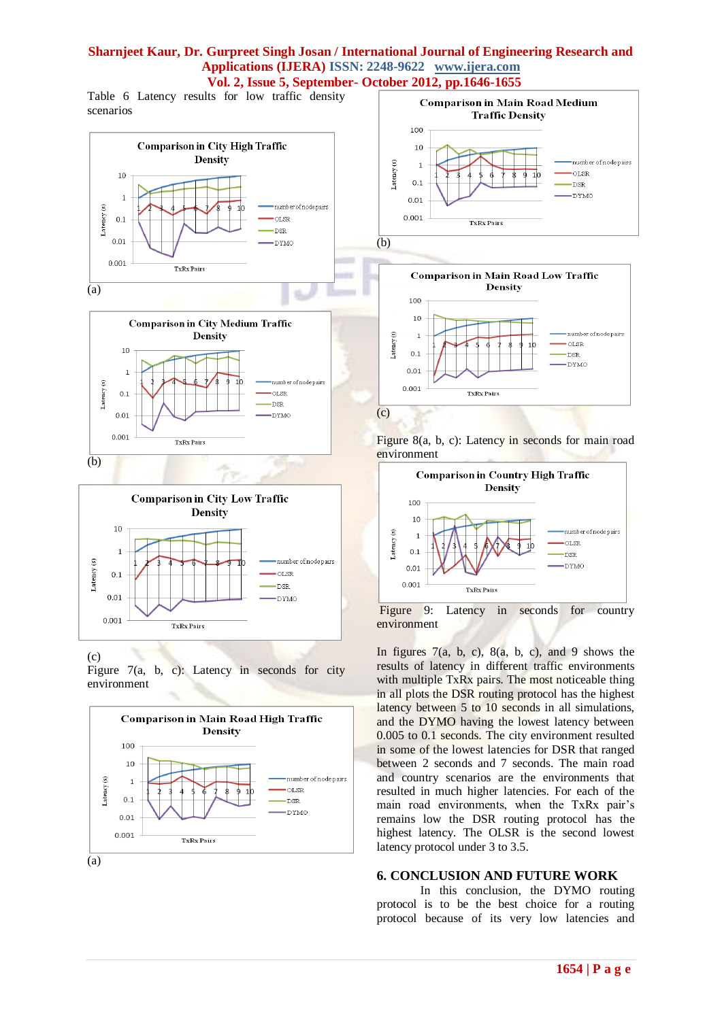Table 6 Latency results for low traffic density scenarios







## (c)

Figure 7(a, b, c): Latency in seconds for city environment



(a)





Figure 8(a, b, c): Latency in seconds for main road environment



Figure 9: Latency in seconds for country environment

In figures  $7(a, b, c)$ ,  $8(a, b, c)$ , and 9 shows the results of latency in different traffic environments with multiple TxRx pairs. The most noticeable thing in all plots the DSR routing protocol has the highest latency between 5 to 10 seconds in all simulations, and the DYMO having the lowest latency between 0.005 to 0.1 seconds. The city environment resulted in some of the lowest latencies for DSR that ranged between 2 seconds and 7 seconds. The main road and country scenarios are the environments that resulted in much higher latencies. For each of the main road environments, when the TxRx pair's remains low the DSR routing protocol has the highest latency. The OLSR is the second lowest latency protocol under 3 to 3.5.

## **6. CONCLUSION AND FUTURE WORK**

In this conclusion, the DYMO routing protocol is to be the best choice for a routing protocol because of its very low latencies and